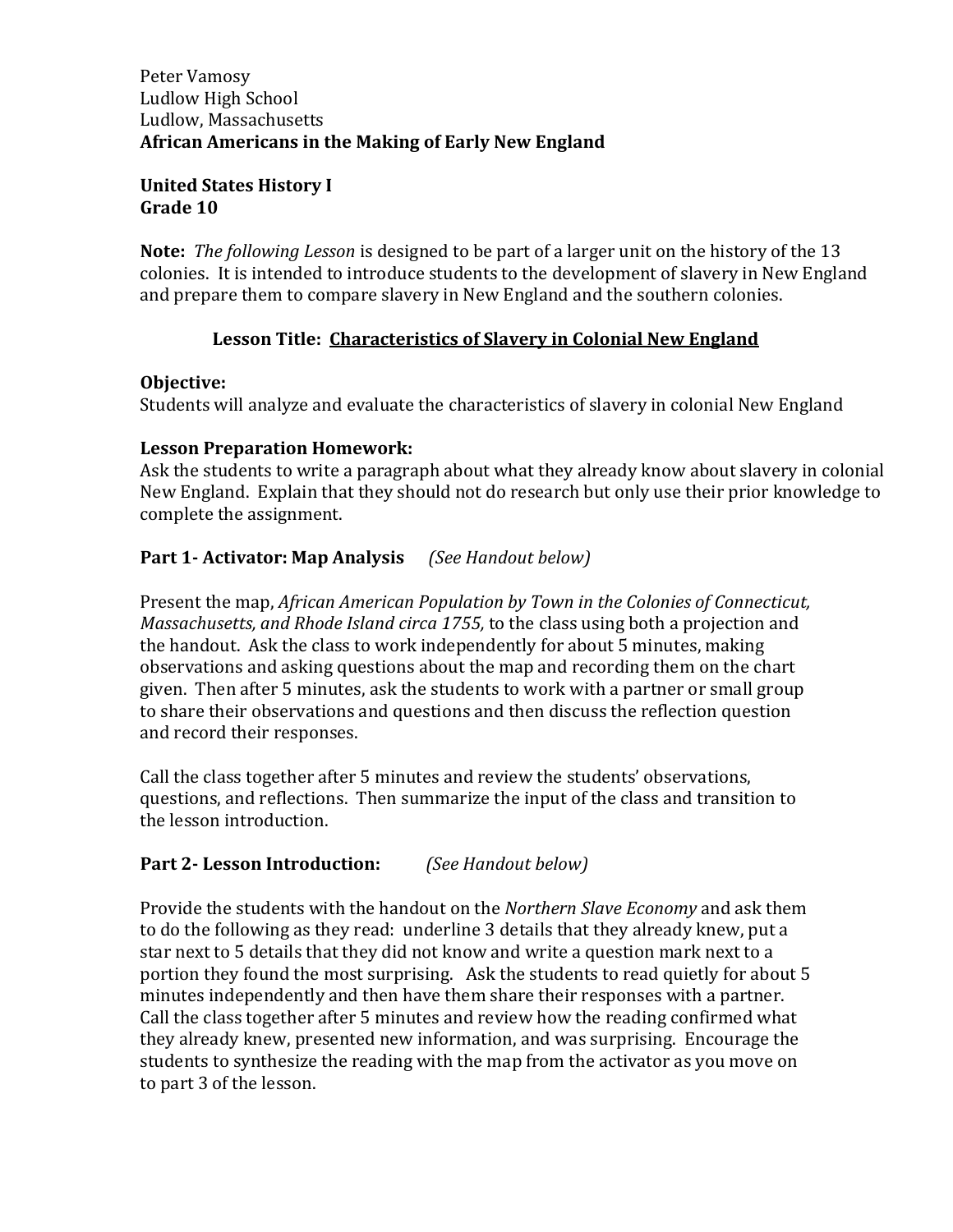#### Peter Vamosy Ludlow High School Ludlow, Massachusetts **African Americans in the Making of Early New England**

#### **United States History I Grade 10**

**Note:** *The following Lesson* is designed to be part of a larger unit on the history of the 13 colonies. It is intended to introduce students to the development of slavery in New England and prepare them to compare slavery in New England and the southern colonies.

### **Lesson Title: Characteristics of Slavery in Colonial New England**

#### **Objective:**

Students will analyze and evaluate the characteristics of slavery in colonial New England

#### **Lesson Preparation Homework:**

Ask the students to write a paragraph about what they already know about slavery in colonial New England. Explain that they should not do research but only use their prior knowledge to complete the assignment.

### **Part 1- Activator: Map Analysis** *(See Handout below)*

Present the map, *African American Population by Town in the Colonies of Connecticut, Massachusetts, and Rhode Island circa 1755,* to the class using both a projection and the handout. Ask the class to work independently for about 5 minutes, making observations and asking questions about the map and recording them on the chart given. Then after 5 minutes, ask the students to work with a partner or small group to share their observations and questions and then discuss the reflection question and record their responses.

Call the class together after 5 minutes and review the students' observations, questions, and reflections. Then summarize the input of the class and transition to the lesson introduction.

### **Part 2- Lesson Introduction:** *(See Handout below)*

Provide the students with the handout on the *Northern Slave Economy* and ask them to do the following as they read: underline 3 details that they already knew, put a star next to 5 details that they did not know and write a question mark next to a portion they found the most surprising. Ask the students to read quietly for about 5 minutes independently and then have them share their responses with a partner. Call the class together after 5 minutes and review how the reading confirmed what they already knew, presented new information, and was surprising. Encourage the students to synthesize the reading with the map from the activator as you move on to part 3 of the lesson.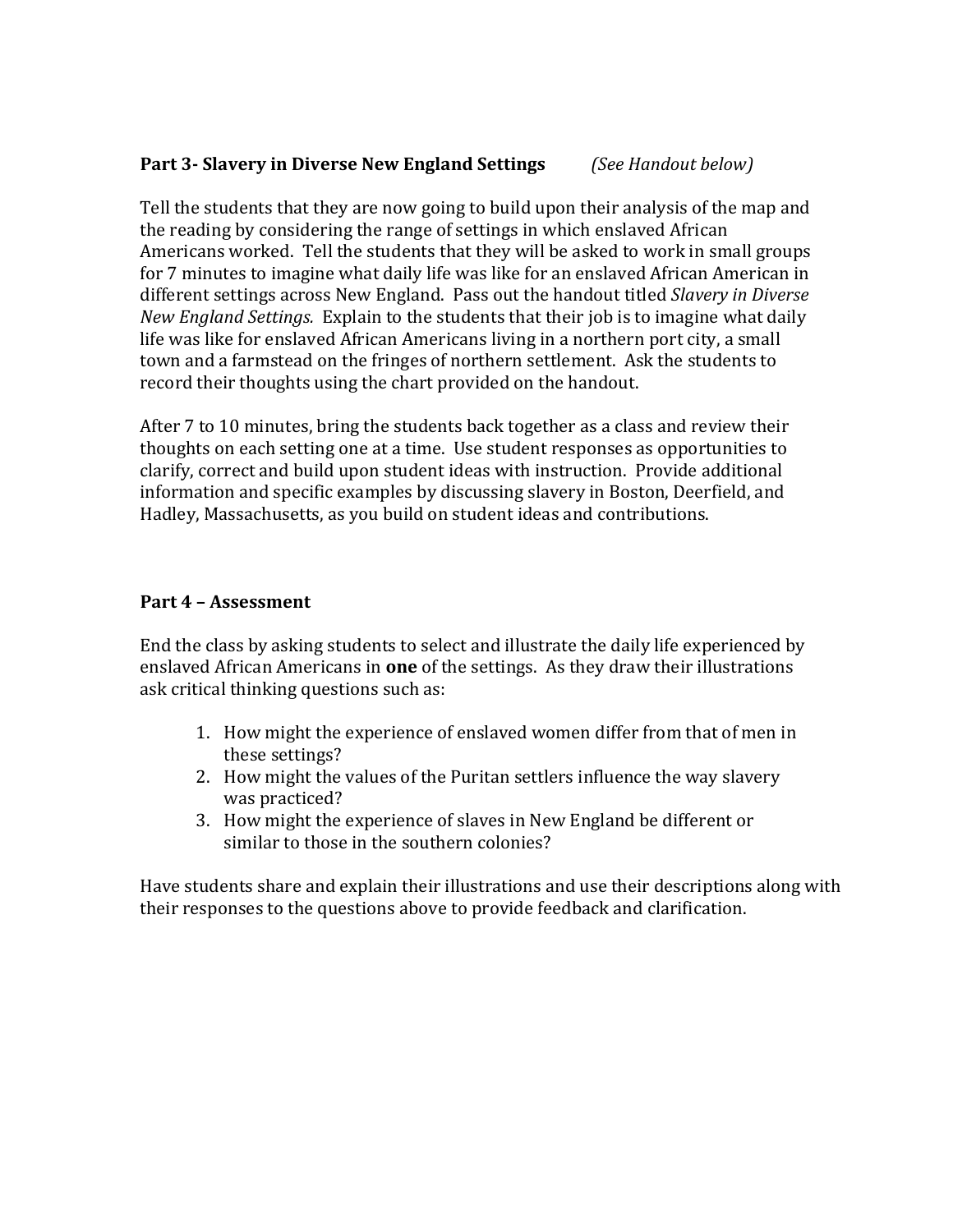### **Part 3- Slavery in Diverse New England Settings** *(See Handout below)*

Tell the students that they are now going to build upon their analysis of the map and the reading by considering the range of settings in which enslaved African Americans worked. Tell the students that they will be asked to work in small groups for 7 minutes to imagine what daily life was like for an enslaved African American in different settings across New England. Pass out the handout titled *Slavery in Diverse New England Settings.* Explain to the students that their job is to imagine what daily life was like for enslaved African Americans living in a northern port city, a small town and a farmstead on the fringes of northern settlement. Ask the students to record their thoughts using the chart provided on the handout.

After 7 to 10 minutes, bring the students back together as a class and review their thoughts on each setting one at a time. Use student responses as opportunities to clarify, correct and build upon student ideas with instruction. Provide additional information and specific examples by discussing slavery in Boston, Deerfield, and Hadley, Massachusetts, as you build on student ideas and contributions.

#### **Part 4 – Assessment**

End the class by asking students to select and illustrate the daily life experienced by enslaved African Americans in **one** of the settings. As they draw their illustrations ask critical thinking questions such as:

- 1. How might the experience of enslaved women differ from that of men in these settings?
- 2. How might the values of the Puritan settlers influence the way slavery was practiced?
- 3. How might the experience of slaves in New England be different or similar to those in the southern colonies?

Have students share and explain their illustrations and use their descriptions along with their responses to the questions above to provide feedback and clarification.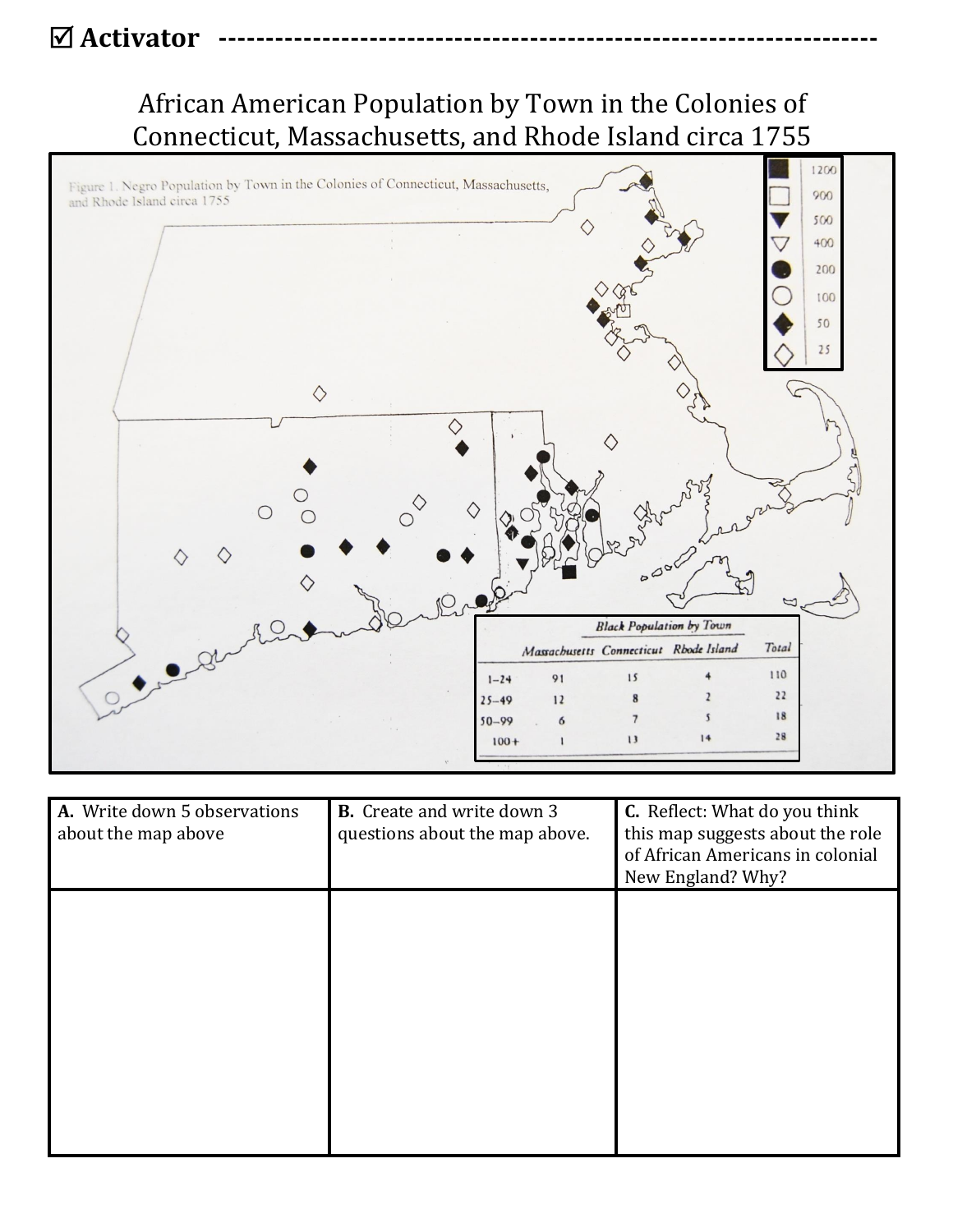# **Ø Activator**

# African American Population by Town in the Colonies of Connecticut, Massachusetts, and Rhode Island circa 1755



| A. Write down 5 observations<br>about the map above | <b>B.</b> Create and write down 3<br>questions about the map above. | <b>C.</b> Reflect: What do you think<br>this map suggests about the role<br>of African Americans in colonial<br>New England? Why? |
|-----------------------------------------------------|---------------------------------------------------------------------|-----------------------------------------------------------------------------------------------------------------------------------|
|                                                     |                                                                     |                                                                                                                                   |
|                                                     |                                                                     |                                                                                                                                   |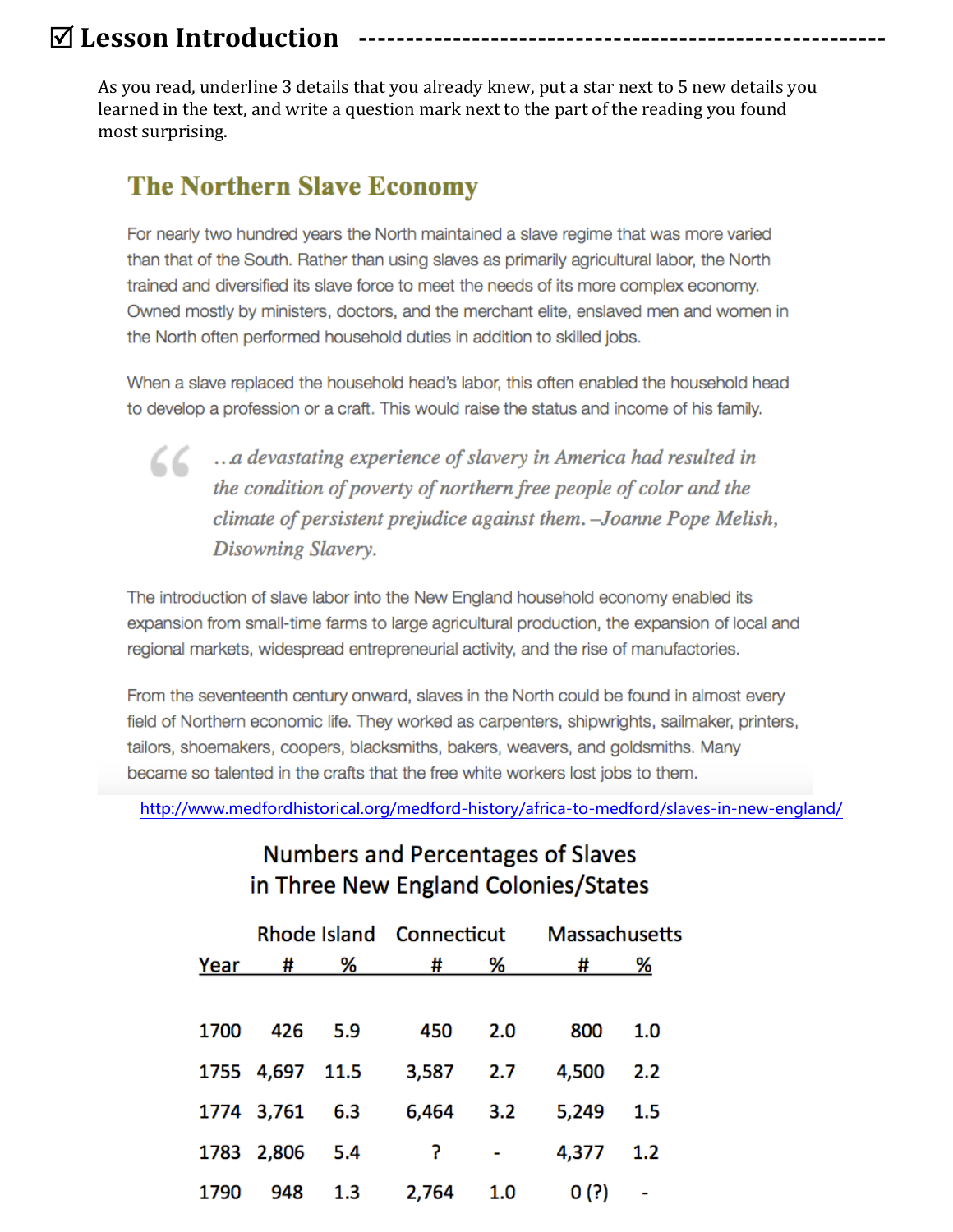# $\boxdot$  **Lesson Introduction**

 As you read, underline 3 details that you already knew, put a star next to 5 new details you learned in the text, and write a question mark next to the part of the reading you found most surprising.

## **The Northern Slave Economy**

For nearly two hundred years the North maintained a slave regime that was more varied than that of the South. Rather than using slaves as primarily agricultural labor, the North trained and diversified its slave force to meet the needs of its more complex economy. Owned mostly by ministers, doctors, and the merchant elite, enslayed men and women in the North often performed household duties in addition to skilled jobs.

When a slave replaced the household head's labor, this often enabled the household head to develop a profession or a craft. This would raise the status and income of his family.

CC ... a devastating experience of slavery in America had resulted in the condition of poverty of northern free people of color and the climate of persistent prejudice against them. - Joanne Pope Melish, Disowning Slavery.

The introduction of slave labor into the New England household economy enabled its expansion from small-time farms to large agricultural production, the expansion of local and regional markets, widespread entrepreneurial activity, and the rise of manufactories.

From the seventeenth century onward, slaves in the North could be found in almost every field of Northern economic life. They worked as carpenters, shipwrights, sailmaker, printers, tailors, shoemakers, coopers, blacksmiths, bakers, weavers, and goldsmiths. Many became so talented in the crafts that the free white workers lost jobs to them.

<http://www.medfordhistorical.org/medford-history/africa-to-medford/slaves-in-new-england/>

|      |                 |         |                |                | Rhode Island Connecticut Massachusetts |     |
|------|-----------------|---------|----------------|----------------|----------------------------------------|-----|
|      |                 |         | Year # % # % # |                |                                        | %   |
|      |                 |         |                |                |                                        |     |
| 1700 |                 | 426 5.9 | 450            | 2.0            | 800                                    | 1.0 |
|      | 1755 4,697 11.5 |         | 3,587 2.7      |                | 4,500 2.2                              |     |
|      | 1774 3,761 6.3  |         |                |                | 6,464 3.2 5,249 1.5                    |     |
|      | 1783 2,806 5.4  |         |                | $\ddot{?}$ $-$ | 4,377 1.2                              |     |
| 1790 | 948             | 1.3     | 2,764 1.0      |                | 0(?)                                   |     |

## **Numbers and Percentages of Slaves** in Three New England Colonies/States